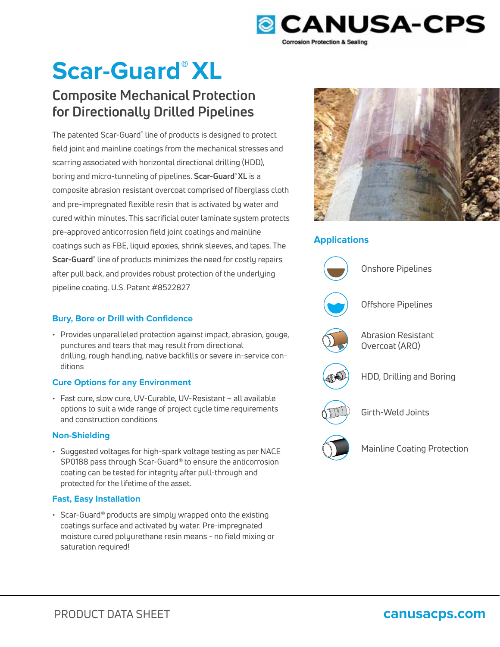

# **Scar-Guard® XL**

## **Composite Mechanical Protection for Directionally Drilled Pipelines**

The patented Scar-Guard® line of products is designed to protect field joint and mainline coatings from the mechanical stresses and scarring associated with horizontal directional drilling (HDD), boring and micro-tunneling of pipelines. **Scar-Guard® XL** is a composite abrasion resistant overcoat comprised of fiberglass cloth and pre-impregnated flexible resin that is activated by water and cured within minutes. This sacrificial outer laminate system protects pre-approved anticorrosion field joint coatings and mainline coatings such as FBE, liquid epoxies, shrink sleeves, and tapes. The **Scar-Guard®** line of products minimizes the need for costly repairs after pull back, and provides robust protection of the underlying pipeline coating. U.S. Patent #8522827

### **Bury, Bore or Drill with Confidence**

• Provides unparalleled protection against impact, abrasion, gouge, punctures and tears that may result from directional drilling, rough handling, native backfills or severe in-service conditions

### **Cure Options for any Environment**

• Fast cure, slow cure, UV-Curable, UV-Resistant – all available options to suit a wide range of project cycle time requirements and construction conditions

### **Non-Shielding**

• Suggested voltages for high-spark voltage testing as per NACE SP0188 pass through Scar-Guard® to ensure the anticorrosion coating can be tested for integrity after pull-through and protected for the lifetime of the asset.

### **Fast, Easy Installation**

• Scar-Guard® products are simply wrapped onto the existing coatings surface and activated by water. Pre-impregnated moisture cured polyurethane resin means - no field mixing or saturation required!



### **Applications**